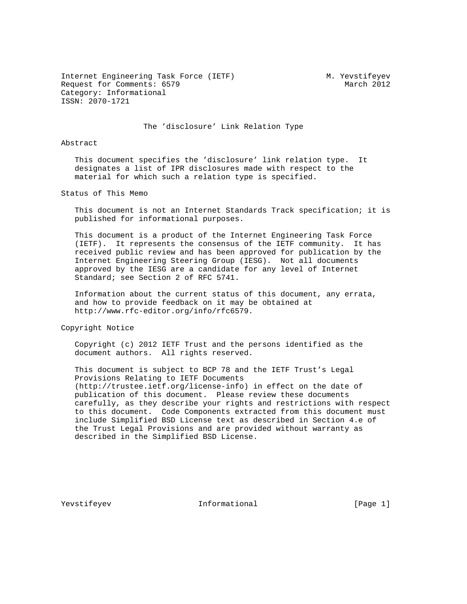Internet Engineering Task Force (IETF) M. Yevstifeyev Request for Comments: 6579 March 2012 Category: Informational ISSN: 2070-1721

The 'disclosure' Link Relation Type

### Abstract

 This document specifies the 'disclosure' link relation type. It designates a list of IPR disclosures made with respect to the material for which such a relation type is specified.

Status of This Memo

 This document is not an Internet Standards Track specification; it is published for informational purposes.

 This document is a product of the Internet Engineering Task Force (IETF). It represents the consensus of the IETF community. It has received public review and has been approved for publication by the Internet Engineering Steering Group (IESG). Not all documents approved by the IESG are a candidate for any level of Internet Standard; see Section 2 of RFC 5741.

 Information about the current status of this document, any errata, and how to provide feedback on it may be obtained at http://www.rfc-editor.org/info/rfc6579.

Copyright Notice

 Copyright (c) 2012 IETF Trust and the persons identified as the document authors. All rights reserved.

 This document is subject to BCP 78 and the IETF Trust's Legal Provisions Relating to IETF Documents (http://trustee.ietf.org/license-info) in effect on the date of publication of this document. Please review these documents carefully, as they describe your rights and restrictions with respect to this document. Code Components extracted from this document must include Simplified BSD License text as described in Section 4.e of the Trust Legal Provisions and are provided without warranty as described in the Simplified BSD License.

Yevstifeyev **Informational** [Page 1]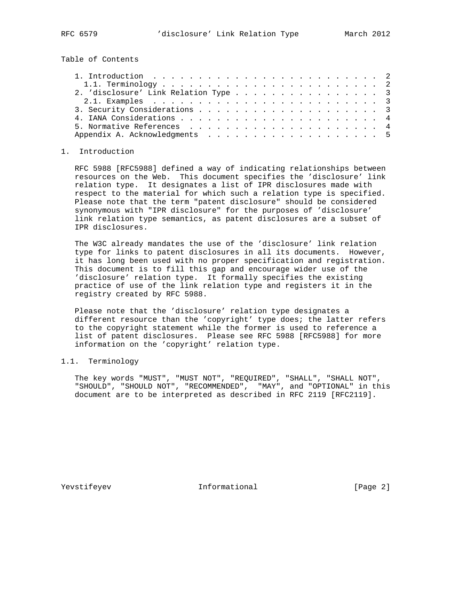Table of Contents

| 2. 'disclosure' Link Relation Type 3 |  |  |  |  |  |  |
|--------------------------------------|--|--|--|--|--|--|
|                                      |  |  |  |  |  |  |
|                                      |  |  |  |  |  |  |
|                                      |  |  |  |  |  |  |
|                                      |  |  |  |  |  |  |
|                                      |  |  |  |  |  |  |

### 1. Introduction

 RFC 5988 [RFC5988] defined a way of indicating relationships between resources on the Web. This document specifies the 'disclosure' link relation type. It designates a list of IPR disclosures made with respect to the material for which such a relation type is specified. Please note that the term "patent disclosure" should be considered synonymous with "IPR disclosure" for the purposes of 'disclosure' link relation type semantics, as patent disclosures are a subset of IPR disclosures.

 The W3C already mandates the use of the 'disclosure' link relation type for links to patent disclosures in all its documents. However, it has long been used with no proper specification and registration. This document is to fill this gap and encourage wider use of the 'disclosure' relation type. It formally specifies the existing practice of use of the link relation type and registers it in the registry created by RFC 5988.

 Please note that the 'disclosure' relation type designates a different resource than the 'copyright' type does; the latter refers to the copyright statement while the former is used to reference a list of patent disclosures. Please see RFC 5988 [RFC5988] for more information on the 'copyright' relation type.

# 1.1. Terminology

 The key words "MUST", "MUST NOT", "REQUIRED", "SHALL", "SHALL NOT", "SHOULD", "SHOULD NOT", "RECOMMENDED", "MAY", and "OPTIONAL" in this document are to be interpreted as described in RFC 2119 [RFC2119].

Yevstifeyev **Informational** [Page 2]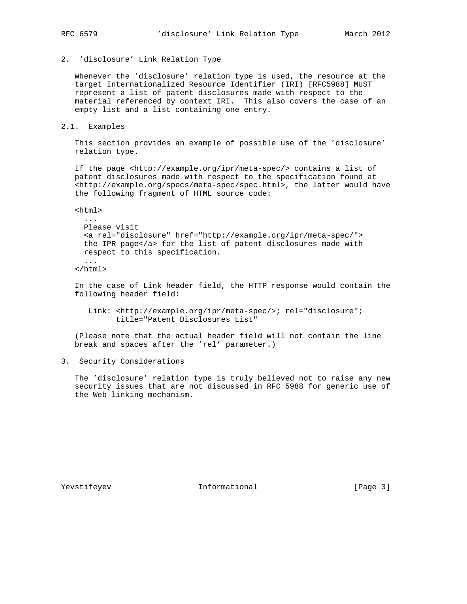# 2. 'disclosure' Link Relation Type

 Whenever the 'disclosure' relation type is used, the resource at the target Internationalized Resource Identifier (IRI) [RFC5988] MUST represent a list of patent disclosures made with respect to the material referenced by context IRI. This also covers the case of an empty list and a list containing one entry.

#### 2.1. Examples

 This section provides an example of possible use of the 'disclosure' relation type.

 If the page <http://example.org/ipr/meta-spec/> contains a list of patent disclosures made with respect to the specification found at <http://example.org/specs/meta-spec/spec.html>, the latter would have the following fragment of HTML source code:

 $<$ html $>$ 

```
 ...
Please visit
<a rel="disclosure" href="http://example.org/ipr/meta-spec/">
the IPR page</a> for the list of patent disclosures made with
respect to this specification.
...
```

```
 </html>
```
 In the case of Link header field, the HTTP response would contain the following header field:

 Link: <http://example.org/ipr/meta-spec/>; rel="disclosure"; title="Patent Disclosures List"

 (Please note that the actual header field will not contain the line break and spaces after the 'rel' parameter.)

## 3. Security Considerations

 The 'disclosure' relation type is truly believed not to raise any new security issues that are not discussed in RFC 5988 for generic use of the Web linking mechanism.

Yevstifeyev 1nformational [Page 3]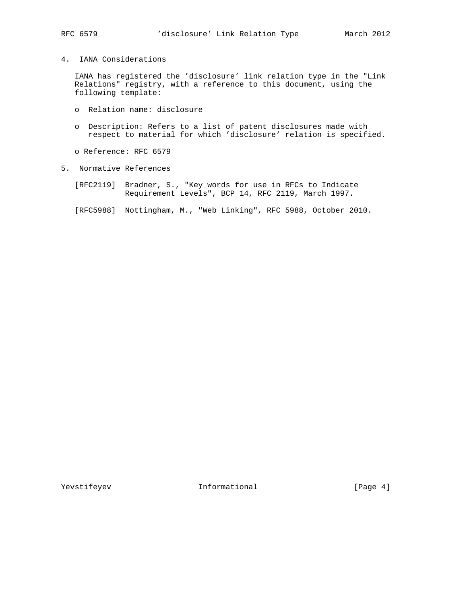4. IANA Considerations

 IANA has registered the 'disclosure' link relation type in the "Link Relations" registry, with a reference to this document, using the following template:

- o Relation name: disclosure
- o Description: Refers to a list of patent disclosures made with respect to material for which 'disclosure' relation is specified.
- o Reference: RFC 6579
- 5. Normative References
	- [RFC2119] Bradner, S., "Key words for use in RFCs to Indicate Requirement Levels", BCP 14, RFC 2119, March 1997.
	- [RFC5988] Nottingham, M., "Web Linking", RFC 5988, October 2010.

Yevstifeyev Informational [Page 4]